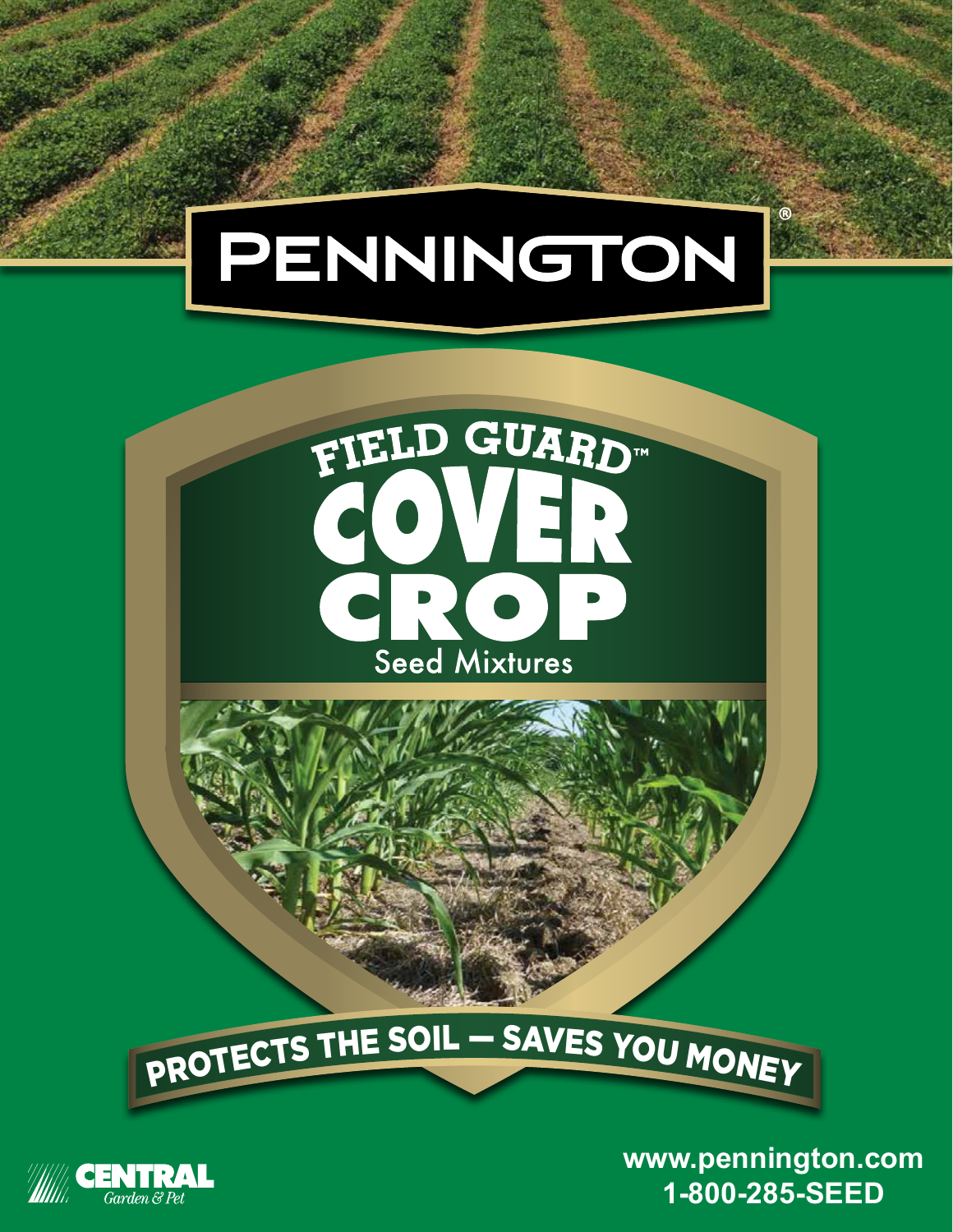## PENNINGTON



# PROTECTS THE SOIL — SAVES YOU MONEY

**www.pennington.com 1-800-285-SEED**

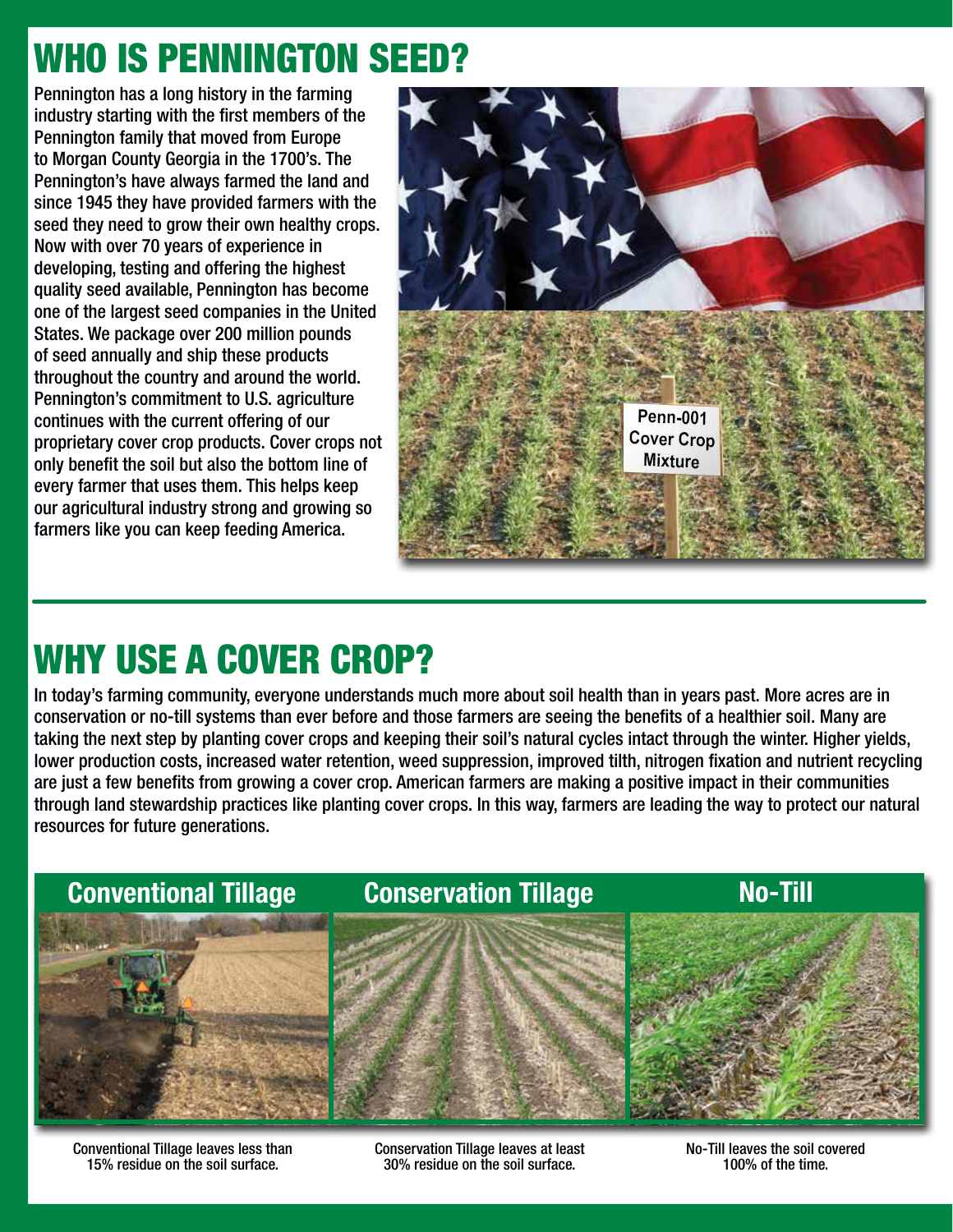### WHO IS PENNINGTON SEED?

Pennington has a long history in the farming industry starting with the first members of the Pennington family that moved from Europe to Morgan County Georgia in the 1700's. The Pennington's have always farmed the land and since 1945 they have provided farmers with the seed they need to grow their own healthy crops. Now with over 70 years of experience in developing, testing and offering the highest quality seed available, Pennington has become one of the largest seed companies in the United States. We package over 200 million pounds of seed annually and ship these products throughout the country and around the world. Pennington's commitment to U.S. agriculture continues with the current offering of our proprietary cover crop products. Cover crops not only benefit the soil but also the bottom line of every farmer that uses them. This helps keep our agricultural industry strong and growing so farmers like you can keep feeding America.



### WHY USE A COVER CROP?

In today's farming community, everyone understands much more about soil health than in years past. More acres are in conservation or no-till systems than ever before and those farmers are seeing the benefits of a healthier soil. Many are taking the next step by planting cover crops and keeping their soil's natural cycles intact through the winter. Higher yields, lower production costs, increased water retention, weed suppression, improved tilth, nitrogen fixation and nutrient recycling are just a few benefits from growing a cover crop. American farmers are making a positive impact in their communities through land stewardship practices like planting cover crops. In this way, farmers are leading the way to protect our natural resources for future generations.



Conventional Tillage leaves less than 15% residue on the soil surface.

Conservation Tillage leaves at least 30% residue on the soil surface.

No-Till leaves the soil covered 100% of the time.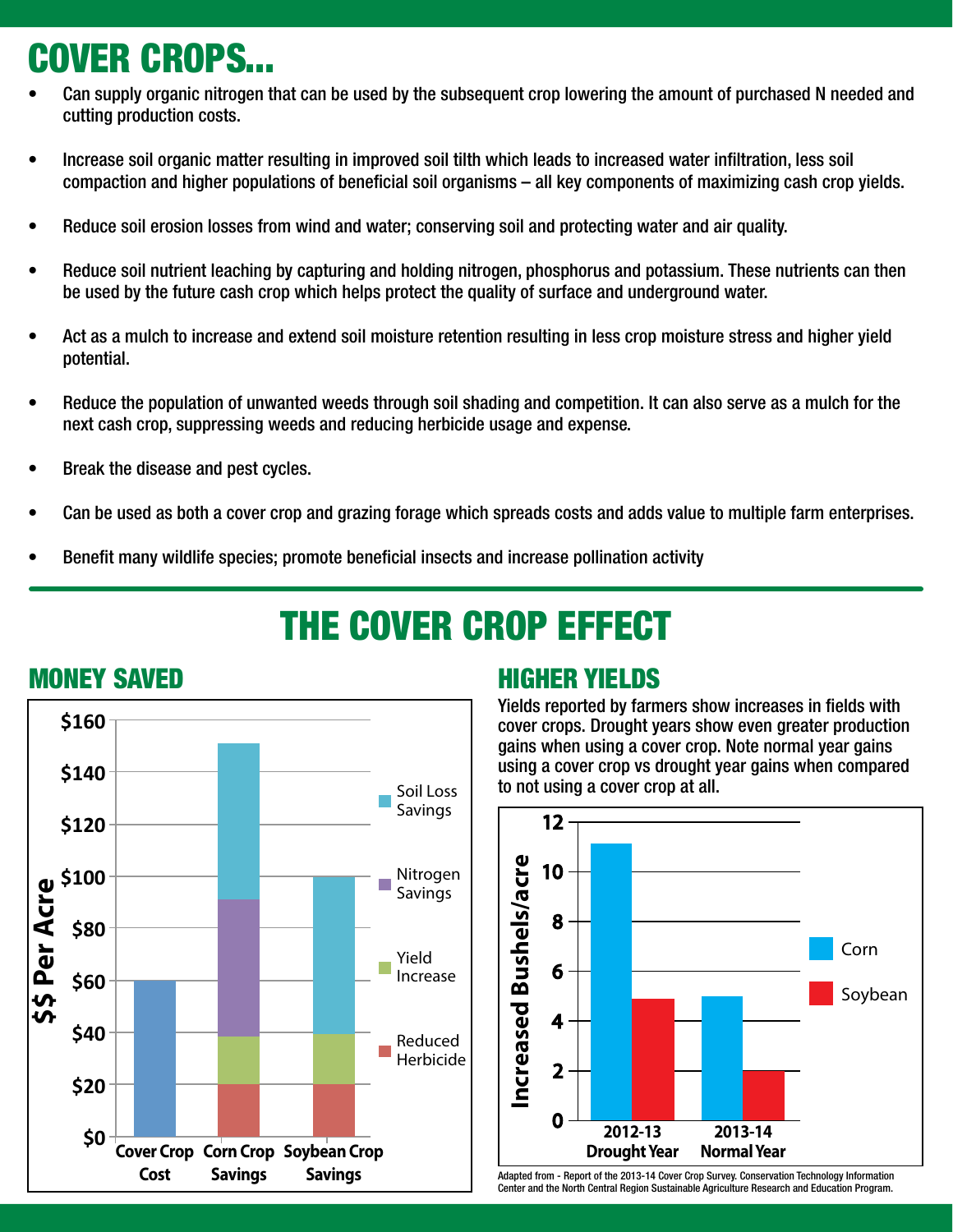### COVER CROPS...

- Can supply organic nitrogen that can be used by the subsequent crop lowering the amount of purchased N needed and cutting production costs.
- Increase soil organic matter resulting in improved soil tilth which leads to increased water infiltration, less soil compaction and higher populations of beneficial soil organisms – all key components of maximizing cash crop yields.
- Reduce soil erosion losses from wind and water; conserving soil and protecting water and air quality.
- Reduce soil nutrient leaching by capturing and holding nitrogen, phosphorus and potassium. These nutrients can then be used by the future cash crop which helps protect the quality of surface and underground water.
- Act as a mulch to increase and extend soil moisture retention resulting in less crop moisture stress and higher yield potential.
- Reduce the population of unwanted weeds through soil shading and competition. It can also serve as a mulch for the next cash crop, suppressing weeds and reducing herbicide usage and expense.
- Break the disease and pest cycles.
- Can be used as both a cover crop and grazing forage which spreads costs and adds value to multiple farm enterprises.
- Benefit many wildlife species; promote beneficial insects and increase pollination activity

## THE COVER CROP EFFECT



### MONEY SAVED **HIGHER YIELDS**

Yields reported by farmers show increases in fields with cover crops. Drought years show even greater production gains when using a cover crop. Note normal year gains using a cover crop vs drought year gains when compared to not using a cover crop at all.



Adapted from - Report of the 2013-14 Cover Crop Survey. Conservation Technology Information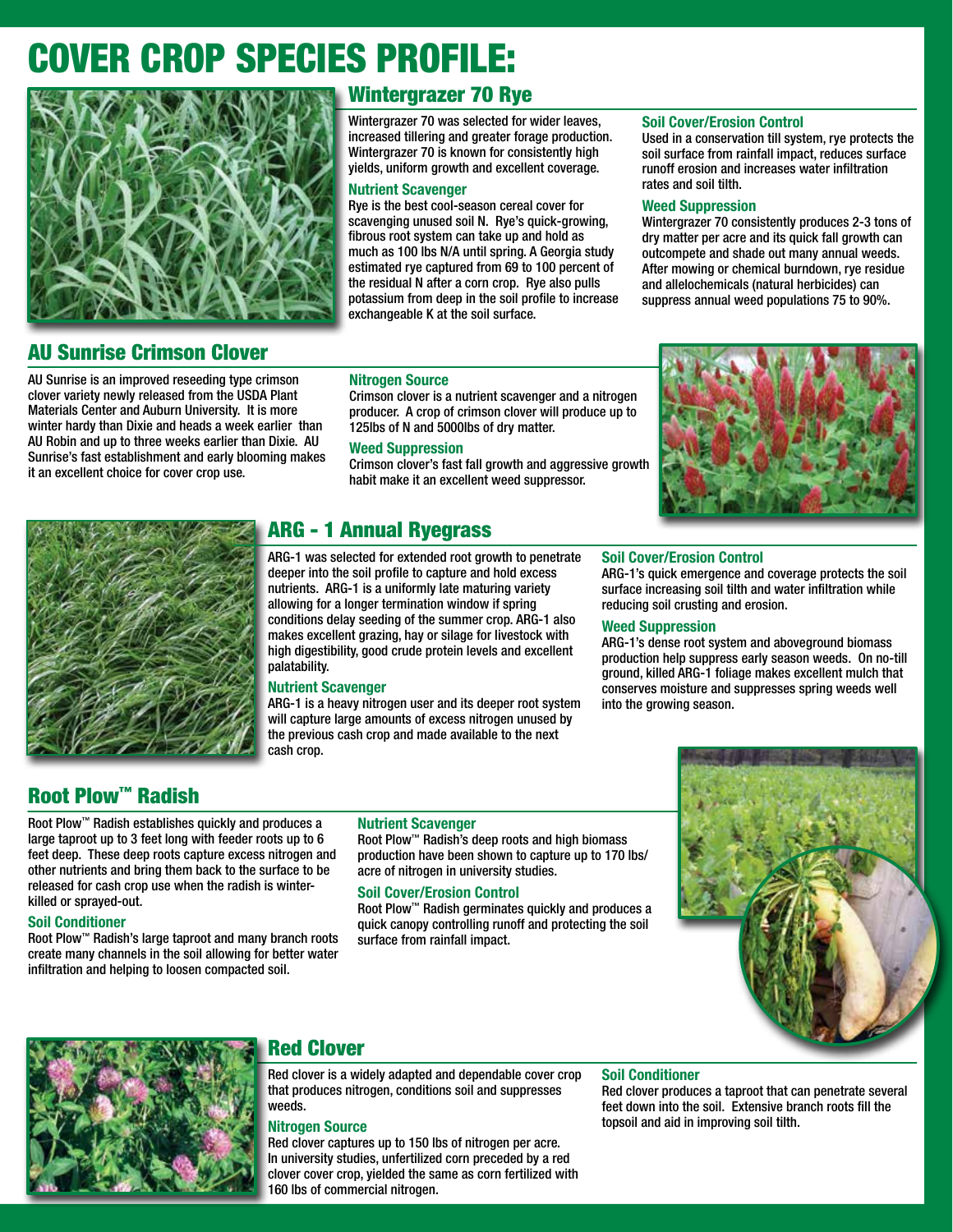### COVER CROP SPECIES PROFILE:



#### Wintergrazer 70 Rye

Wintergrazer 70 was selected for wider leaves, increased tillering and greater forage production. Wintergrazer 70 is known for consistently high yields, uniform growth and excellent coverage.

#### Nutrient Scavenger

Rye is the best cool-season cereal cover for scavenging unused soil N. Rye's quick-growing, fibrous root system can take up and hold as much as 100 lbs N/A until spring. A Georgia study estimated rye captured from 69 to 100 percent of the residual N after a corn crop. Rye also pulls potassium from deep in the soil profile to increase exchangeable K at the soil surface.

#### Soil Cover/Erosion Control

Used in a conservation till system, rye protects the soil surface from rainfall impact, reduces surface runoff erosion and increases water infiltration rates and soil tilth.

#### Weed Suppression

Wintergrazer 70 consistently produces 2-3 tons of dry matter per acre and its quick fall growth can outcompete and shade out many annual weeds. After mowing or chemical burndown, rye residue and allelochemicals (natural herbicides) can suppress annual weed populations 75 to 90%.

#### AU Sunrise Crimson Clover

AU Sunrise is an improved reseeding type crimson clover variety newly released from the USDA Plant Materials Center and Auburn University. It is more winter hardy than Dixie and heads a week earlier than AU Robin and up to three weeks earlier than Dixie. AU Sunrise's fast establishment and early blooming makes it an excellent choice for cover crop use.

#### Nitrogen Source

Crimson clover is a nutrient scavenger and a nitrogen producer. A crop of crimson clover will produce up to 125lbs of N and 5000lbs of dry matter.

#### Weed Suppression

Crimson clover's fast fall growth and aggressive growth habit make it an excellent weed suppressor.





#### ARG - 1 Annual Ryegrass

ARG-1 was selected for extended root growth to penetrate deeper into the soil profile to capture and hold excess nutrients. ARG-1 is a uniformly late maturing variety allowing for a longer termination window if spring conditions delay seeding of the summer crop. ARG-1 also makes excellent grazing, hay or silage for livestock with high digestibility, good crude protein levels and excellent palatability.

#### Nutrient Scavenger

ARG-1 is a heavy nitrogen user and its deeper root system will capture large amounts of excess nitrogen unused by the previous cash crop and made available to the next cash crop.

#### Soil Cover/Erosion Control

ARG-1's quick emergence and coverage protects the soil surface increasing soil tilth and water infiltration while reducing soil crusting and erosion.

#### Weed Suppression

ARG-1's dense root system and aboveground biomass production help suppress early season weeds. On no-till ground, killed ARG-1 foliage makes excellent mulch that conserves moisture and suppresses spring weeds well into the growing season.

#### Root Plow™ Radish

Root Plow™ Radish establishes quickly and produces a large taproot up to 3 feet long with feeder roots up to 6 feet deep. These deep roots capture excess nitrogen and other nutrients and bring them back to the surface to be released for cash crop use when the radish is winterkilled or sprayed-out.

#### Soil Conditioner

Root Plow™ Radish's large taproot and many branch roots create many channels in the soil allowing for better water infiltration and helping to loosen compacted soil.

#### Nutrient Scavenger

Root Plow™ Radish's deep roots and high biomass production have been shown to capture up to 170 lbs/ acre of nitrogen in university studies.

#### Soil Cover/Erosion Control

Root Plow™ Radish germinates quickly and produces a quick canopy controlling runoff and protecting the soil surface from rainfall impact.





#### Red Clover

Red clover is a widely adapted and dependable cover crop that produces nitrogen, conditions soil and suppresses weeds.

#### Nitrogen Source

Red clover captures up to 150 lbs of nitrogen per acre. In university studies, unfertilized corn preceded by a red clover cover crop, yielded the same as corn fertilized with 160 lbs of commercial nitrogen.

#### Soil Conditioner

Red clover produces a taproot that can penetrate several feet down into the soil. Extensive branch roots fill the topsoil and aid in improving soil tilth.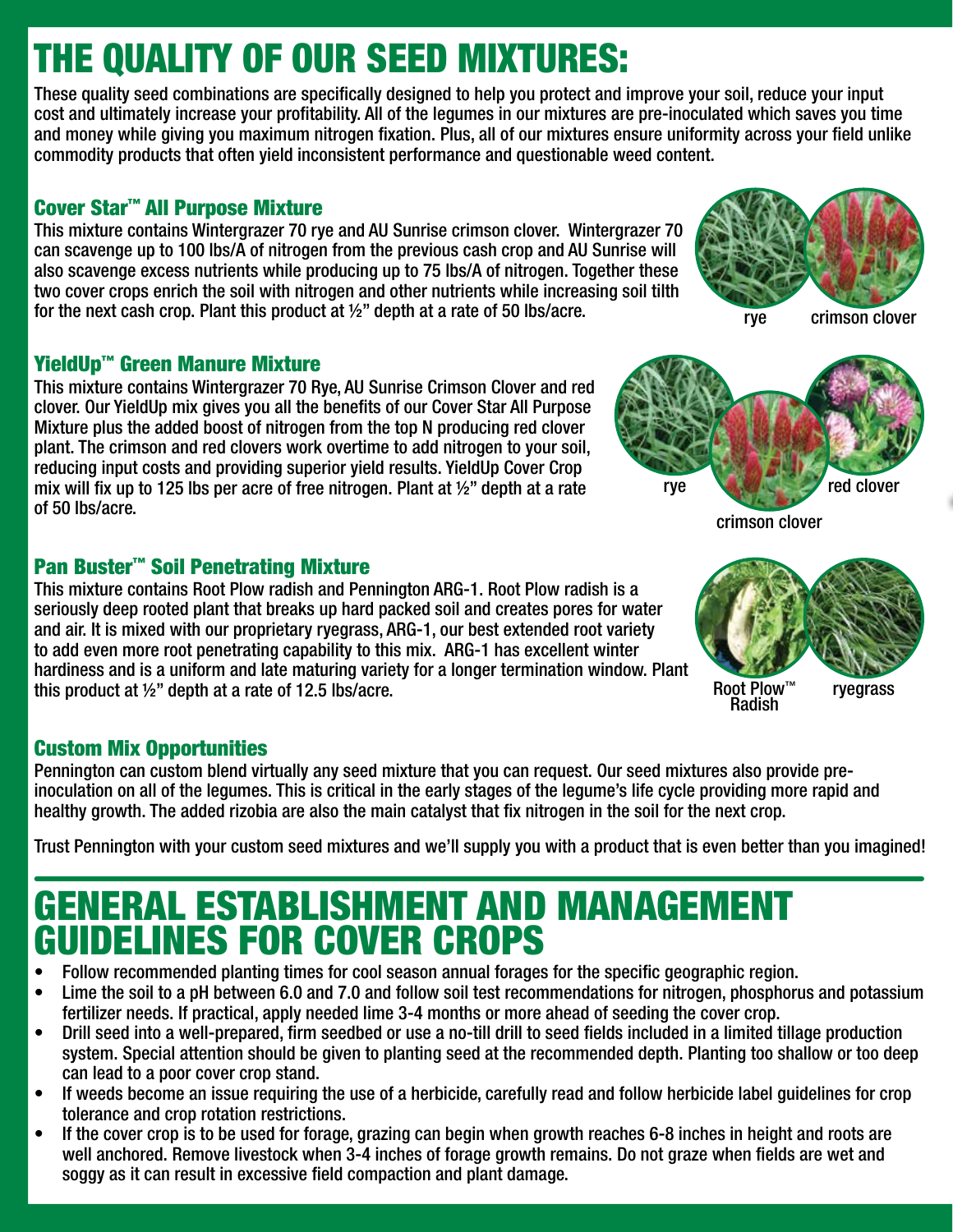### THE QUALITY OF OUR SEED MIXTURES:

These quality seed combinations are specifically designed to help you protect and improve your soil, reduce your input cost and ultimately increase your profitability. All of the legumes in our mixtures are pre-inoculated which saves you time and money while giving you maximum nitrogen fixation. Plus, all of our mixtures ensure uniformity across your field unlike commodity products that often yield inconsistent performance and questionable weed content.

#### Cover Star™ All Purpose Mixture

This mixture contains Wintergrazer 70 rye and AU Sunrise crimson clover. Wintergrazer 70 can scavenge up to 100 lbs/A of nitrogen from the previous cash crop and AU Sunrise will also scavenge excess nutrients while producing up to 75 lbs/A of nitrogen. Together these two cover crops enrich the soil with nitrogen and other nutrients while increasing soil tilth for the next cash crop. Plant this product at ½" depth at a rate of 50 lbs/acre.

#### YieldUp™ Green Manure Mixture

This mixture contains Wintergrazer 70 Rye, AU Sunrise Crimson Clover and red clover. Our YieldUp mix gives you all the benefits of our Cover Star All Purpose Mixture plus the added boost of nitrogen from the top N producing red clover plant. The crimson and red clovers work overtime to add nitrogen to your soil, reducing input costs and providing superior yield results. YieldUp Cover Crop mix will fix up to 125 lbs per acre of free nitrogen. Plant at ½" depth at a rate of 50 lbs/acre.

#### Pan Buster™ Soil Penetrating Mixture

This mixture contains Root Plow radish and Pennington ARG-1. Root Plow radish is a seriously deep rooted plant that breaks up hard packed soil and creates pores for water and air. It is mixed with our proprietary ryegrass, ARG-1, our best extended root variety to add even more root penetrating capability to this mix. ARG-1 has excellent winter hardiness and is a uniform and late maturing variety for a longer termination window. Plant this product at ½" depth at a rate of 12.5 lbs/acre.

#### Custom Mix Opportunities

Pennington can custom blend virtually any seed mixture that you can request. Our seed mixtures also provide preinoculation on all of the legumes. This is critical in the early stages of the legume's life cycle providing more rapid and healthy growth. The added rizobia are also the main catalyst that fix nitrogen in the soil for the next crop.

Trust Pennington with your custom seed mixtures and we'll supply you with a product that is even better than you imagined!

### GENERAL ESTABLISHMENT AND MANAGEMENT GUIDELINES FOR COVER CROPS

- Follow recommended planting times for cool season annual forages for the specific geographic region.
- Lime the soil to a pH between 6.0 and 7.0 and follow soil test recommendations for nitrogen, phosphorus and potassium fertilizer needs. If practical, apply needed lime 3-4 months or more ahead of seeding the cover crop.
- Drill seed into a well-prepared, firm seedbed or use a no-till drill to seed fields included in a limited tillage production system. Special attention should be given to planting seed at the recommended depth. Planting too shallow or too deep can lead to a poor cover crop stand.
- If weeds become an issue requiring the use of a herbicide, carefully read and follow herbicide label guidelines for crop tolerance and crop rotation restrictions.
- If the cover crop is to be used for forage, grazing can begin when growth reaches 6-8 inches in height and roots are well anchored. Remove livestock when 3-4 inches of forage growth remains. Do not graze when fields are wet and soggy as it can result in excessive field compaction and plant damage.



crimson clover



Root Plow™ Radish ryegrass